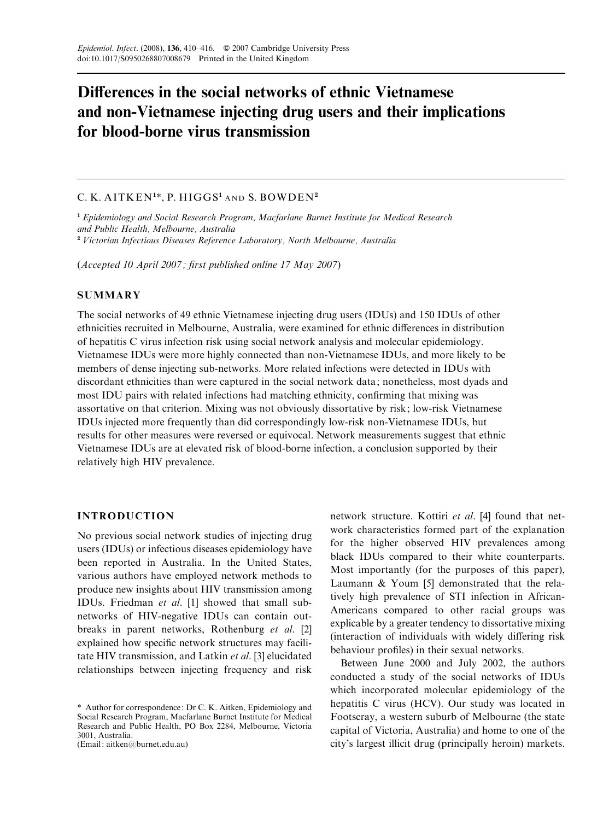# Differences in the social networks of ethnic Vietnamese and non-Vietnamese injecting drug users and their implications for blood-borne virus transmission

## C. K. AITKEN<sup>1\*</sup>, P. HIGGS<sup>1</sup> and S. BOWDEN<sup>2</sup>

<sup>1</sup> Epidemiology and Social Research Program, Macfarlane Burnet Institute for Medical Research and Public Health, Melbourne, Australia <sup>2</sup> Victorian Infectious Diseases Reference Laboratory, North Melbourne, Australia

(Accepted 10 April 2007 ; first published online 17 May 2007)

## **SUMMARY**

The social networks of 49 ethnic Vietnamese injecting drug users (IDUs) and 150 IDUs of other ethnicities recruited in Melbourne, Australia, were examined for ethnic differences in distribution of hepatitis C virus infection risk using social network analysis and molecular epidemiology. Vietnamese IDUs were more highly connected than non-Vietnamese IDUs, and more likely to be members of dense injecting sub-networks. More related infections were detected in IDUs with discordant ethnicities than were captured in the social network data; nonetheless, most dyads and most IDU pairs with related infections had matching ethnicity, confirming that mixing was assortative on that criterion. Mixing was not obviously dissortative by risk; low-risk Vietnamese IDUs injected more frequently than did correspondingly low-risk non-Vietnamese IDUs, but results for other measures were reversed or equivocal. Network measurements suggest that ethnic Vietnamese IDUs are at elevated risk of blood-borne infection, a conclusion supported by their relatively high HIV prevalence.

## INTRODUCTION

No previous social network studies of injecting drug users (IDUs) or infectious diseases epidemiology have been reported in Australia. In the United States, various authors have employed network methods to produce new insights about HIV transmission among IDUs. Friedman et al. [1] showed that small subnetworks of HIV-negative IDUs can contain outbreaks in parent networks, Rothenburg et al. [2] explained how specific network structures may facilitate HIV transmission, and Latkin et al. [3] elucidated relationships between injecting frequency and risk

(Email: aitken@burnet.edu.au)

network structure. Kottiri et al. [4] found that network characteristics formed part of the explanation for the higher observed HIV prevalences among black IDUs compared to their white counterparts. Most importantly (for the purposes of this paper), Laumann & Youm [5] demonstrated that the relatively high prevalence of STI infection in African-Americans compared to other racial groups was explicable by a greater tendency to dissortative mixing (interaction of individuals with widely differing risk behaviour profiles) in their sexual networks.

Between June 2000 and July 2002, the authors conducted a study of the social networks of IDUs which incorporated molecular epidemiology of the hepatitis C virus (HCV). Our study was located in Footscray, a western suburb of Melbourne (the state capital of Victoria, Australia) and home to one of the city's largest illicit drug (principally heroin) markets.

<sup>\*</sup> Author for correspondence: Dr C. K. Aitken, Epidemiology and Social Research Program, Macfarlane Burnet Institute for Medical Research and Public Health, PO Box 2284, Melbourne, Victoria 3001, Australia.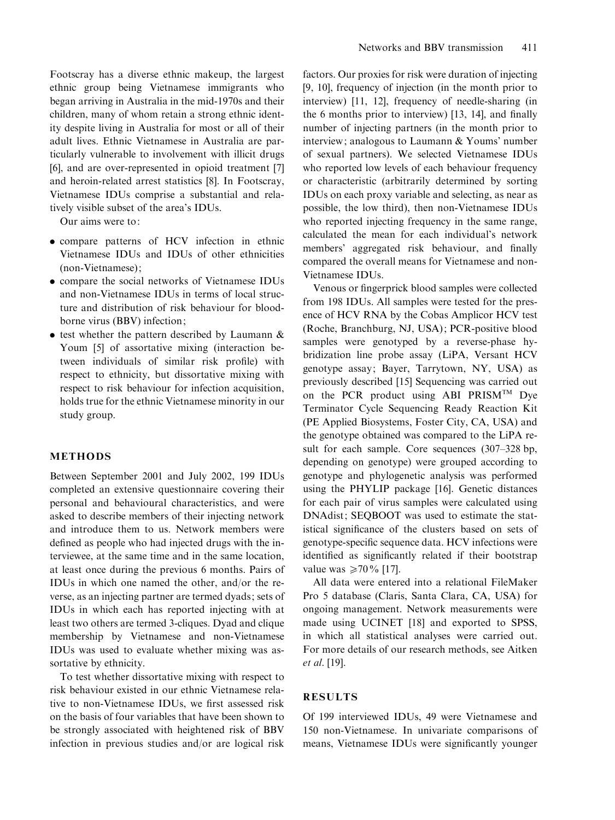Footscray has a diverse ethnic makeup, the largest ethnic group being Vietnamese immigrants who began arriving in Australia in the mid-1970s and their children, many of whom retain a strong ethnic identity despite living in Australia for most or all of their adult lives. Ethnic Vietnamese in Australia are particularly vulnerable to involvement with illicit drugs [6], and are over-represented in opioid treatment [7] and heroin-related arrest statistics [8]. In Footscray, Vietnamese IDUs comprise a substantial and relatively visible subset of the area's IDUs.

Our aims were to:

- . compare patterns of HCV infection in ethnic Vietnamese IDUs and IDUs of other ethnicities (non-Vietnamese);
- . compare the social networks of Vietnamese IDUs and non-Vietnamese IDUs in terms of local structure and distribution of risk behaviour for bloodborne virus (BBV) infection;
- test whether the pattern described by Laumann & Youm [5] of assortative mixing (interaction between individuals of similar risk profile) with respect to ethnicity, but dissortative mixing with respect to risk behaviour for infection acquisition, holds true for the ethnic Vietnamese minority in our study group.

#### METHODS

Between September 2001 and July 2002, 199 IDUs completed an extensive questionnaire covering their personal and behavioural characteristics, and were asked to describe members of their injecting network and introduce them to us. Network members were defined as people who had injected drugs with the interviewee, at the same time and in the same location, at least once during the previous 6 months. Pairs of IDUs in which one named the other, and/or the reverse, as an injecting partner are termed dyads; sets of IDUs in which each has reported injecting with at least two others are termed 3-cliques. Dyad and clique membership by Vietnamese and non-Vietnamese IDUs was used to evaluate whether mixing was assortative by ethnicity.

To test whether dissortative mixing with respect to risk behaviour existed in our ethnic Vietnamese relative to non-Vietnamese IDUs, we first assessed risk on the basis of four variables that have been shown to be strongly associated with heightened risk of BBV infection in previous studies and/or are logical risk factors. Our proxies for risk were duration of injecting [9, 10], frequency of injection (in the month prior to interview) [11, 12], frequency of needle-sharing (in the 6 months prior to interview) [13, 14], and finally number of injecting partners (in the month prior to interview; analogous to Laumann & Youms' number of sexual partners). We selected Vietnamese IDUs who reported low levels of each behaviour frequency or characteristic (arbitrarily determined by sorting IDUs on each proxy variable and selecting, as near as possible, the low third), then non-Vietnamese IDUs who reported injecting frequency in the same range, calculated the mean for each individual's network members' aggregated risk behaviour, and finally compared the overall means for Vietnamese and non-Vietnamese IDUs.

Venous or fingerprick blood samples were collected from 198 IDUs. All samples were tested for the presence of HCV RNA by the Cobas Amplicor HCV test (Roche, Branchburg, NJ, USA); PCR-positive blood samples were genotyped by a reverse-phase hybridization line probe assay (LiPA, Versant HCV genotype assay; Bayer, Tarrytown, NY, USA) as previously described [15] Sequencing was carried out on the PCR product using ABI PRISM<sup>TM</sup> Dye Terminator Cycle Sequencing Ready Reaction Kit (PE Applied Biosystems, Foster City, CA, USA) and the genotype obtained was compared to the LiPA result for each sample. Core sequences (307–328 bp, depending on genotype) were grouped according to genotype and phylogenetic analysis was performed using the PHYLIP package [16]. Genetic distances for each pair of virus samples were calculated using DNAdist; SEQBOOT was used to estimate the statistical significance of the clusters based on sets of genotype-specific sequence data. HCV infections were identified as significantly related if their bootstrap value was  $\geq 70\%$  [17].

All data were entered into a relational FileMaker Pro 5 database (Claris, Santa Clara, CA, USA) for ongoing management. Network measurements were made using UCINET [18] and exported to SPSS, in which all statistical analyses were carried out. For more details of our research methods, see Aitken et al. [19].

## RESULTS

Of 199 interviewed IDUs, 49 were Vietnamese and 150 non-Vietnamese. In univariate comparisons of means, Vietnamese IDUs were significantly younger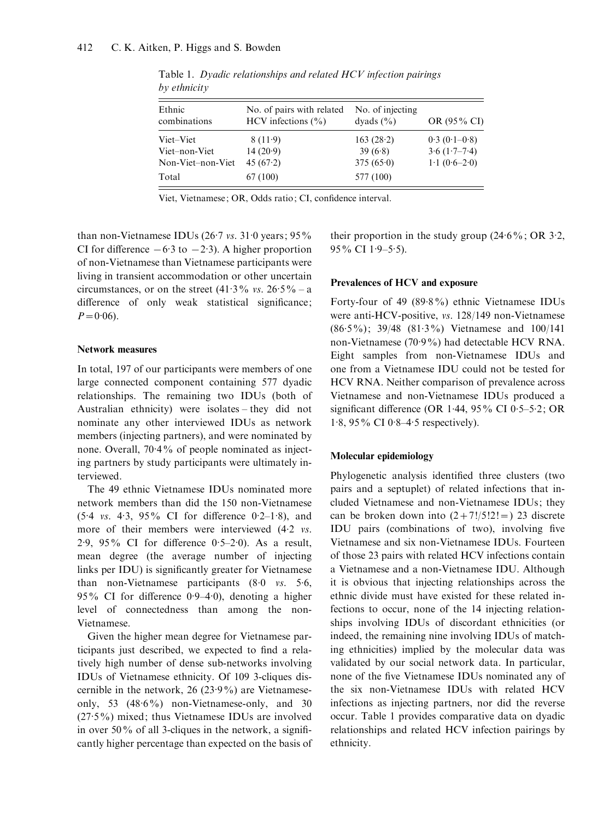| Ethnic<br>combinations | No. of pairs with related<br>HCV infections $(\% )$ | No. of injecting<br>dyads $(\% )$ | OR (95% CI)    |  |
|------------------------|-----------------------------------------------------|-----------------------------------|----------------|--|
| Viet–Viet              | 8(11.9)                                             | 163(28.2)                         | $0.3(0.1-0.8)$ |  |
| Viet-non-Viet          | 14(20.9)                                            | 39(6.8)                           | $3.6(1.7-7.4)$ |  |
| Non-Viet-non-Viet      | 45 $(67.2)$                                         | 375(650)                          | $1.1(0.6-2.0)$ |  |
| Total                  | 67 (100)                                            | 577 (100)                         |                |  |

Table 1. Dyadic relationships and related HCV infection pairings by ethnicity

Viet, Vietnamese; OR, Odds ratio; CI, confidence interval.

than non-Vietnamese IDUs  $(26.7 \text{ vs. } 31.0 \text{ years}; 95\%$ CI for difference  $-6.3$  to  $-2.3$ ). A higher proportion of non-Vietnamese than Vietnamese participants were living in transient accommodation or other uncertain circumstances, or on the street  $(41.3\% \text{ vs. } 26.5\% - a)$ difference of only weak statistical significance;  $P = 0.06$ .

#### Network measures

In total, 197 of our participants were members of one large connected component containing 577 dyadic relationships. The remaining two IDUs (both of Australian ethnicity) were isolates – they did not nominate any other interviewed IDUs as network members (injecting partners), and were nominated by none. Overall, 70. 4% of people nominated as injecting partners by study participants were ultimately interviewed.

The 49 ethnic Vietnamese IDUs nominated more network members than did the 150 non-Vietnamese  $(5.4 \text{ vs. } 4.3, 95\% \text{ CI for difference } 0.2-1.8)$ , and more of their members were interviewed (4.2 vs. 2. 9, 95% CI for difference 0. 5–2. 0). As a result, mean degree (the average number of injecting links per IDU) is significantly greater for Vietnamese than non-Vietnamese participants  $(8.0 \text{ vs. } 5.6)$ 95% CI for difference 0. 9–4. 0), denoting a higher level of connectedness than among the non-Vietnamese.

Given the higher mean degree for Vietnamese participants just described, we expected to find a relatively high number of dense sub-networks involving IDUs of Vietnamese ethnicity. Of 109 3-cliques discernible in the network, 26 (23. 9%) are Vietnameseonly, 53  $(48.6\%)$  non-Vietnamese-only, and 30 (27. 5%) mixed; thus Vietnamese IDUs are involved in over 50% of all 3-cliques in the network, a significantly higher percentage than expected on the basis of their proportion in the study group  $(24.6\%; \text{OR } 3.2)$ , 95% CI 1.9-5.5).

#### Prevalences of HCV and exposure

Forty-four of 49 (89. 8%) ethnic Vietnamese IDUs were anti-HCV-positive, vs. 128/149 non-Vietnamese (86. 5%); 39/48 (81. 3%) Vietnamese and 100/141 non-Vietnamese (70. 9%) had detectable HCV RNA. Eight samples from non-Vietnamese IDUs and one from a Vietnamese IDU could not be tested for HCV RNA. Neither comparison of prevalence across Vietnamese and non-Vietnamese IDUs produced a significant difference (OR 1.44,  $95\%$  CI 0.5-5.2; OR 1. 8, 95% CI 0. 8–4. 5 respectively).

## Molecular epidemiology

Phylogenetic analysis identified three clusters (two pairs and a septuplet) of related infections that included Vietnamese and non-Vietnamese IDUs; they can be broken down into  $(2+7!/5!2!)$  23 discrete IDU pairs (combinations of two), involving five Vietnamese and six non-Vietnamese IDUs. Fourteen of those 23 pairs with related HCV infections contain a Vietnamese and a non-Vietnamese IDU. Although it is obvious that injecting relationships across the ethnic divide must have existed for these related infections to occur, none of the 14 injecting relationships involving IDUs of discordant ethnicities (or indeed, the remaining nine involving IDUs of matching ethnicities) implied by the molecular data was validated by our social network data. In particular, none of the five Vietnamese IDUs nominated any of the six non-Vietnamese IDUs with related HCV infections as injecting partners, nor did the reverse occur. Table 1 provides comparative data on dyadic relationships and related HCV infection pairings by ethnicity.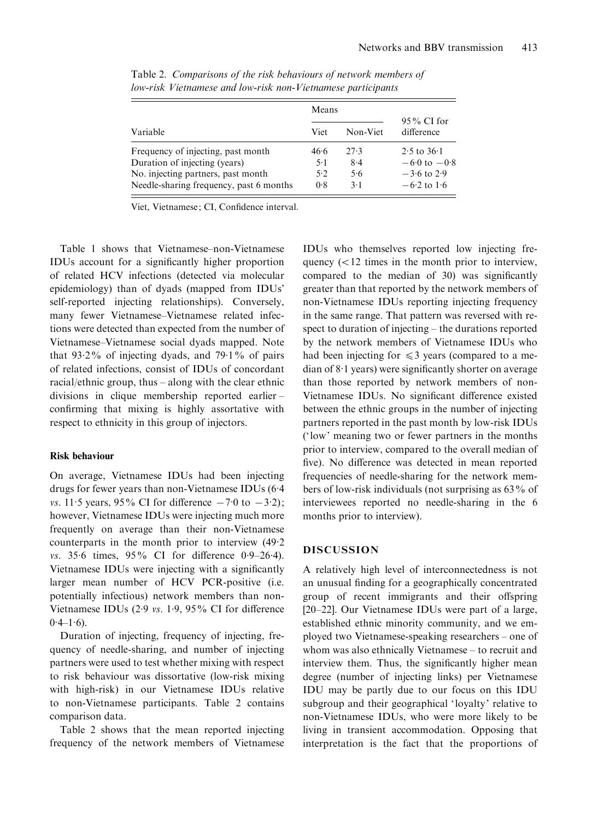|                                         | Means |          |                             |
|-----------------------------------------|-------|----------|-----------------------------|
| Variable                                | Viet  | Non-Viet | $95\%$ CI for<br>difference |
| Frequency of injecting, past month      | 46.6  | 27.3     | $2.5$ to $36.1$             |
| Duration of injecting (years)           | $5-1$ | 8.4      | $-6.0 \text{ to } -0.8$     |
| No. injecting partners, past month      | 5.2   | 5.6      | $-3.6$ to 2.9               |
| Needle-sharing frequency, past 6 months | 0.8   | $3-1$    | $-6.2$ to 1.6               |

Table 2. Comparisons of the risk behaviours of network members of low-risk Vietnamese and low-risk non-Vietnamese participants

Viet, Vietnamese; CI, Confidence interval.

Table 1 shows that Vietnamese–non-Vietnamese IDUs account for a significantly higher proportion of related HCV infections (detected via molecular epidemiology) than of dyads (mapped from IDUs' self-reported injecting relationships). Conversely, many fewer Vietnamese–Vietnamese related infections were detected than expected from the number of Vietnamese–Vietnamese social dyads mapped. Note that  $93.2\%$  of injecting dyads, and  $79.1\%$  of pairs of related infections, consist of IDUs of concordant racial/ethnic group, thus – along with the clear ethnic divisions in clique membership reported earlier – confirming that mixing is highly assortative with respect to ethnicity in this group of injectors.

#### Risk behaviour

On average, Vietnamese IDUs had been injecting drugs for fewer years than non-Vietnamese IDUs (6. 4 vs. 11.5 years, 95% CI for difference  $-7.0$  to  $-3.2$ ); however, Vietnamese IDUs were injecting much more frequently on average than their non-Vietnamese counterparts in the month prior to interview (49. 2 vs. 35.6 times, 95% CI for difference 0.9-26.4). Vietnamese IDUs were injecting with a significantly larger mean number of HCV PCR-positive (i.e. potentially infectious) network members than non-Vietnamese IDUs (2.9 vs. 1.9, 95% CI for difference  $0.4 - 1.6$ .

Duration of injecting, frequency of injecting, frequency of needle-sharing, and number of injecting partners were used to test whether mixing with respect to risk behaviour was dissortative (low-risk mixing with high-risk) in our Vietnamese IDUs relative to non-Vietnamese participants. Table 2 contains comparison data.

Table 2 shows that the mean reported injecting frequency of the network members of Vietnamese

IDUs who themselves reported low injecting frequency  $\left($  < 12 times in the month prior to interview, compared to the median of 30) was significantly greater than that reported by the network members of non-Vietnamese IDUs reporting injecting frequency in the same range. That pattern was reversed with respect to duration of injecting – the durations reported by the network members of Vietnamese IDUs who had been injecting for  $\leq$ 3 years (compared to a median of 8. 1 years) were significantly shorter on average than those reported by network members of non-Vietnamese IDUs. No significant difference existed between the ethnic groups in the number of injecting partners reported in the past month by low-risk IDUs ('low' meaning two or fewer partners in the months prior to interview, compared to the overall median of five). No difference was detected in mean reported frequencies of needle-sharing for the network members of low-risk individuals (not surprising as 63% of interviewees reported no needle-sharing in the 6 months prior to interview).

#### DISCUSSION

A relatively high level of interconnectedness is not an unusual finding for a geographically concentrated group of recent immigrants and their offspring [20–22]. Our Vietnamese IDUs were part of a large, established ethnic minority community, and we employed two Vietnamese-speaking researchers – one of whom was also ethnically Vietnamese – to recruit and interview them. Thus, the significantly higher mean degree (number of injecting links) per Vietnamese IDU may be partly due to our focus on this IDU subgroup and their geographical 'loyalty' relative to non-Vietnamese IDUs, who were more likely to be living in transient accommodation. Opposing that interpretation is the fact that the proportions of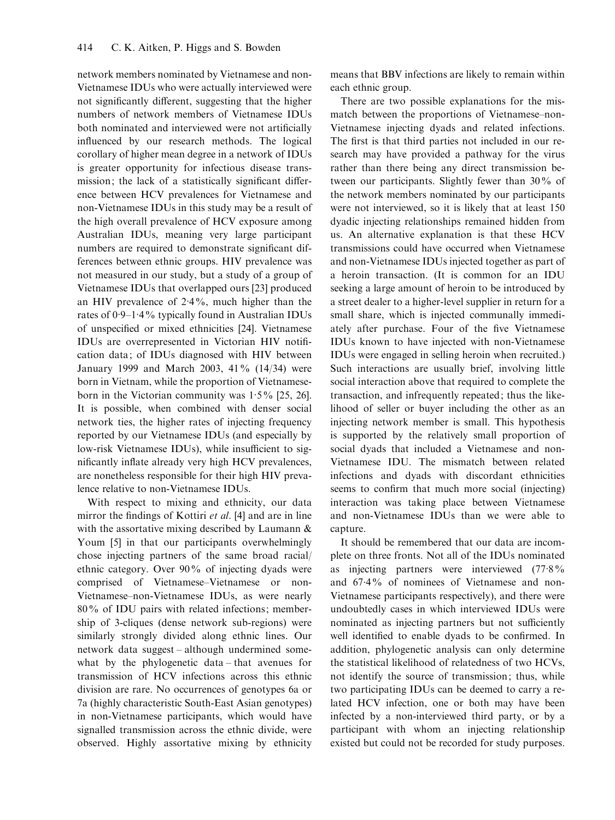network members nominated by Vietnamese and non-Vietnamese IDUs who were actually interviewed were not significantly different, suggesting that the higher numbers of network members of Vietnamese IDUs both nominated and interviewed were not artificially influenced by our research methods. The logical corollary of higher mean degree in a network of IDUs is greater opportunity for infectious disease transmission; the lack of a statistically significant difference between HCV prevalences for Vietnamese and non-Vietnamese IDUs in this study may be a result of the high overall prevalence of HCV exposure among Australian IDUs, meaning very large participant numbers are required to demonstrate significant differences between ethnic groups. HIV prevalence was not measured in our study, but a study of a group of Vietnamese IDUs that overlapped ours [23] produced an HIV prevalence of 2. 4%, much higher than the rates of 0. 9–1. 4% typically found in Australian IDUs of unspecified or mixed ethnicities [24]. Vietnamese IDUs are overrepresented in Victorian HIV notification data; of IDUs diagnosed with HIV between January 1999 and March 2003, 41% (14/34) were born in Vietnam, while the proportion of Vietnameseborn in the Victorian community was  $1.5\%$  [25, 26]. It is possible, when combined with denser social network ties, the higher rates of injecting frequency reported by our Vietnamese IDUs (and especially by low-risk Vietnamese IDUs), while insufficient to significantly inflate already very high HCV prevalences, are nonetheless responsible for their high HIV prevalence relative to non-Vietnamese IDUs.

With respect to mixing and ethnicity, our data mirror the findings of Kottiri et al. [4] and are in line with the assortative mixing described by Laumann & Youm [5] in that our participants overwhelmingly chose injecting partners of the same broad racial/ ethnic category. Over 90% of injecting dyads were comprised of Vietnamese–Vietnamese or non-Vietnamese–non-Vietnamese IDUs, as were nearly 80% of IDU pairs with related infections; membership of 3-cliques (dense network sub-regions) were similarly strongly divided along ethnic lines. Our network data suggest – although undermined somewhat by the phylogenetic data – that avenues for transmission of HCV infections across this ethnic division are rare. No occurrences of genotypes 6a or 7a (highly characteristic South-East Asian genotypes) in non-Vietnamese participants, which would have signalled transmission across the ethnic divide, were observed. Highly assortative mixing by ethnicity means that BBV infections are likely to remain within each ethnic group.

There are two possible explanations for the mismatch between the proportions of Vietnamese–non-Vietnamese injecting dyads and related infections. The first is that third parties not included in our research may have provided a pathway for the virus rather than there being any direct transmission between our participants. Slightly fewer than 30% of the network members nominated by our participants were not interviewed, so it is likely that at least 150 dyadic injecting relationships remained hidden from us. An alternative explanation is that these HCV transmissions could have occurred when Vietnamese and non-Vietnamese IDUs injected together as part of a heroin transaction. (It is common for an IDU seeking a large amount of heroin to be introduced by a street dealer to a higher-level supplier in return for a small share, which is injected communally immediately after purchase. Four of the five Vietnamese IDUs known to have injected with non-Vietnamese IDUs were engaged in selling heroin when recruited.) Such interactions are usually brief, involving little social interaction above that required to complete the transaction, and infrequently repeated; thus the likelihood of seller or buyer including the other as an injecting network member is small. This hypothesis is supported by the relatively small proportion of social dyads that included a Vietnamese and non-Vietnamese IDU. The mismatch between related infections and dyads with discordant ethnicities seems to confirm that much more social (injecting) interaction was taking place between Vietnamese and non-Vietnamese IDUs than we were able to capture.

It should be remembered that our data are incomplete on three fronts. Not all of the IDUs nominated as injecting partners were interviewed (77. 8% and 67. 4% of nominees of Vietnamese and non-Vietnamese participants respectively), and there were undoubtedly cases in which interviewed IDUs were nominated as injecting partners but not sufficiently well identified to enable dyads to be confirmed. In addition, phylogenetic analysis can only determine the statistical likelihood of relatedness of two HCVs, not identify the source of transmission; thus, while two participating IDUs can be deemed to carry a related HCV infection, one or both may have been infected by a non-interviewed third party, or by a participant with whom an injecting relationship existed but could not be recorded for study purposes.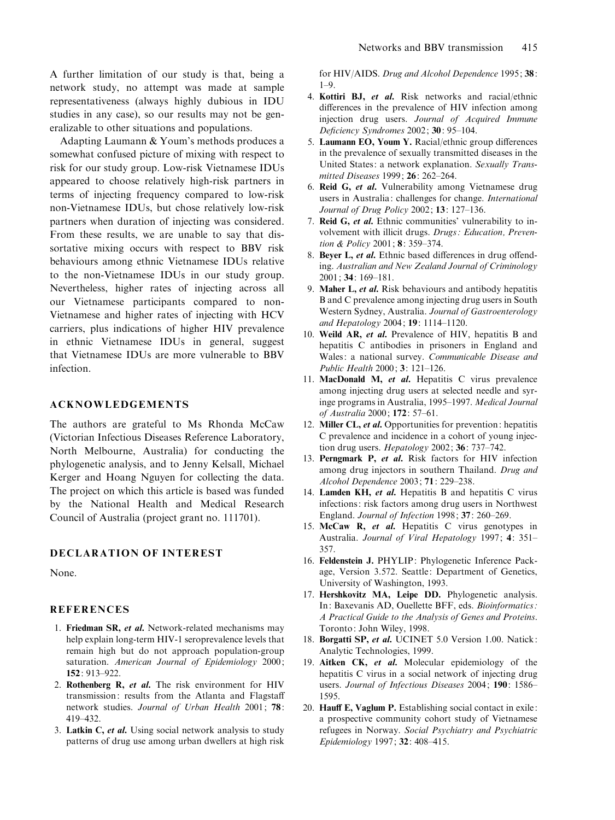A further limitation of our study is that, being a network study, no attempt was made at sample representativeness (always highly dubious in IDU studies in any case), so our results may not be generalizable to other situations and populations.

Adapting Laumann & Youm's methods produces a somewhat confused picture of mixing with respect to risk for our study group. Low-risk Vietnamese IDUs appeared to choose relatively high-risk partners in terms of injecting frequency compared to low-risk non-Vietnamese IDUs, but chose relatively low-risk partners when duration of injecting was considered. From these results, we are unable to say that dissortative mixing occurs with respect to BBV risk behaviours among ethnic Vietnamese IDUs relative to the non-Vietnamese IDUs in our study group. Nevertheless, higher rates of injecting across all our Vietnamese participants compared to non-Vietnamese and higher rates of injecting with HCV carriers, plus indications of higher HIV prevalence in ethnic Vietnamese IDUs in general, suggest that Vietnamese IDUs are more vulnerable to BBV infection.

#### ACKNOWLEDGEMENTS

The authors are grateful to Ms Rhonda McCaw (Victorian Infectious Diseases Reference Laboratory, North Melbourne, Australia) for conducting the phylogenetic analysis, and to Jenny Kelsall, Michael Kerger and Hoang Nguyen for collecting the data. The project on which this article is based was funded by the National Health and Medical Research Council of Australia (project grant no. 111701).

### DECLARATION OF INTEREST

None.

## **REFERENCES**

- 1. Friedman SR, et al. Network-related mechanisms may help explain long-term HIV-1 seroprevalence levels that remain high but do not approach population-group saturation. American Journal of Epidemiology 2000; 152: 913–922.
- 2. Rothenberg  $R$ , *et al.* The risk environment for HIV transmission: results from the Atlanta and Flagstaff network studies. Journal of Urban Health 2001; 78: 419–432.
- 3. Latkin C, et al. Using social network analysis to study patterns of drug use among urban dwellers at high risk

for HIV/AIDS. Drug and Alcohol Dependence 1995; 38:  $1 - Q$ 

- 4. Kottiri BJ, et al. Risk networks and racial/ethnic differences in the prevalence of HIV infection among injection drug users. Journal of Acquired Immune Deficiency Syndromes 2002; 30: 95–104.
- 5. Laumann EO, Youm Y. Racial/ethnic group differences in the prevalence of sexually transmitted diseases in the United States: a network explanation. Sexually Transmitted Diseases 1999; 26: 262–264.
- 6. Reid G, et al. Vulnerability among Vietnamese drug users in Australia: challenges for change. International Journal of Drug Policy 2002; 13: 127–136.
- 7. Reid G, et al. Ethnic communities' vulnerability to involvement with illicit drugs. Drugs: Education, Prevention & Policy 2001; 8: 359-374.
- 8. Beyer L, et al. Ethnic based differences in drug offending. Australian and New Zealand Journal of Criminology 2001; 34: 169–181.
- 9. Maher L, et al. Risk behaviours and antibody hepatitis B and C prevalence among injecting drug users in South Western Sydney, Australia. Journal of Gastroenterology and Hepatology 2004; 19: 1114–1120.
- 10. Weild AR, et al. Prevalence of HIV, hepatitis B and hepatitis C antibodies in prisoners in England and Wales: a national survey. Communicable Disease and Public Health 2000; 3: 121–126.
- 11. MacDonald M, et al. Hepatitis C virus prevalence among injecting drug users at selected needle and syringe programs in Australia, 1995–1997. Medical Journal of Australia 2000; 172: 57–61.
- 12. Miller CL, et al. Opportunities for prevention: hepatitis C prevalence and incidence in a cohort of young injection drug users. Hepatology 2002; 36: 737–742.
- 13. Perngmark P, et al. Risk factors for HIV infection among drug injectors in southern Thailand. Drug and Alcohol Dependence 2003; 71: 229–238.
- 14. Lamden KH, et al. Hepatitis B and hepatitis C virus infections: risk factors among drug users in Northwest England. Journal of Infection 1998; 37: 260–269.
- 15. McCaw R, et al. Hepatitis C virus genotypes in Australia. Journal of Viral Hepatology 1997; 4: 351-357.
- 16. Feldenstein J. PHYLIP: Phylogenetic Inference Package, Version 3.572. Seattle: Department of Genetics, University of Washington, 1993.
- 17. Hershkovitz MA, Leipe DD. Phylogenetic analysis. In: Baxevanis AD, Ouellette BFF, eds. Bioinformatics : A Practical Guide to the Analysis of Genes and Proteins. Toronto: John Wiley, 1998.
- 18. Borgatti SP, et al. UCINET 5.0 Version 1.00. Natick: Analytic Technologies, 1999.
- 19. Aitken CK, et al. Molecular epidemiology of the hepatitis C virus in a social network of injecting drug users. Journal of Infectious Diseases 2004; 190: 1586-1595.
- 20. Hauff E, Vaglum P. Establishing social contact in exile: a prospective community cohort study of Vietnamese refugees in Norway. Social Psychiatry and Psychiatric Epidemiology 1997; 32: 408–415.